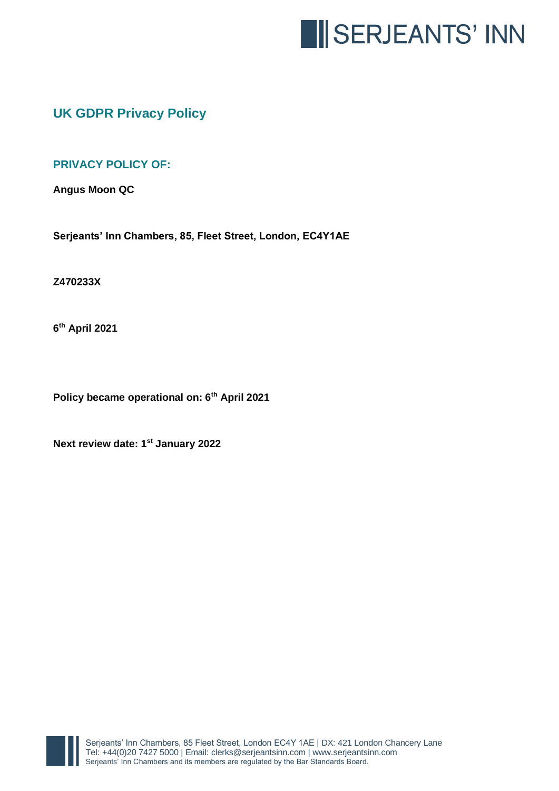

# **UK GDPR Privacy Policy**

## **PRIVACY POLICY OF:**

**Angus Moon QC**

**Serjeants' Inn Chambers, 85, Fleet Street, London, EC4Y1AE**

#### **Z470233X**

**6 th April 2021**

**Policy became operational on: 6th April 2021**

**Next review date: 1st January 2022**

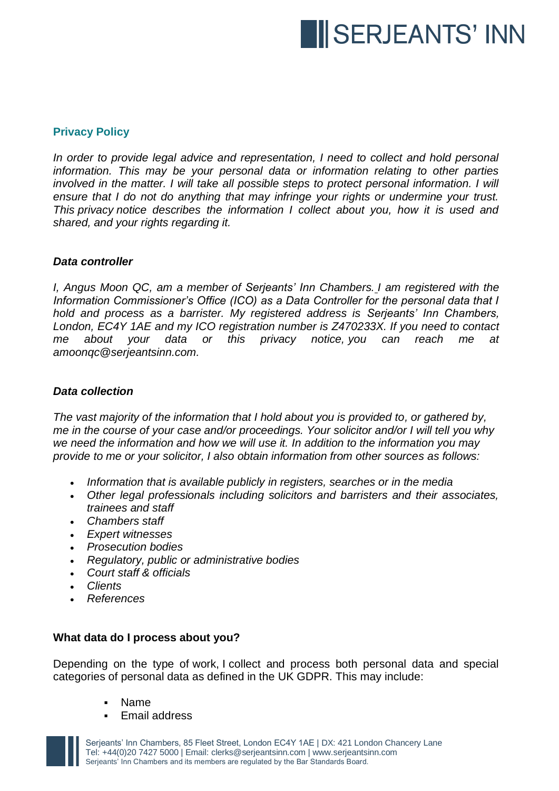

## **Privacy Policy**

In order to provide legal advice and representation, I need to collect and hold personal *information. This may be your personal data or information relating to other parties involved in the matter. I will take all possible steps to protect personal information. I will ensure that I do not do anything that may infringe your rights or undermine your trust. This privacy notice describes the information I collect about you, how it is used and shared, and your rights regarding it.*

#### *Data controller*

*I, Angus Moon QC, am a member of Serjeants' Inn Chambers. I am registered with the Information Commissioner's Office (ICO) as a Data Controller for the personal data that I hold and process as a barrister. My registered address is Serjeants' Inn Chambers, London, EC4Y 1AE and my ICO registration number is Z470233X. If you need to contact me about your data or this privacy notice, you can reach me at amoonqc@serjeantsinn.com.*

### *Data collection*

*The vast majority of the information that I hold about you is provided to, or gathered by, me in the course of your case and/or proceedings. Your solicitor and/or I will tell you why we need the information and how we will use it. In addition to the information you may provide to me or your solicitor, I also obtain information from other sources as follows:*

- *Information that is available publicly in registers, searches or in the media*
- *Other legal professionals including solicitors and barristers and their associates, trainees and staff*
- *Chambers staff*
- *Expert witnesses*
- *Prosecution bodies*
- *Regulatory, public or administrative bodies*
- *Court staff & officials*
- *Clients*
- *References*

## **What data do I process about you?**

Depending on the type of work, I collect and process both personal data and special categories of personal data as defined in the UK GDPR. This may include:

- **Name**
- Email address

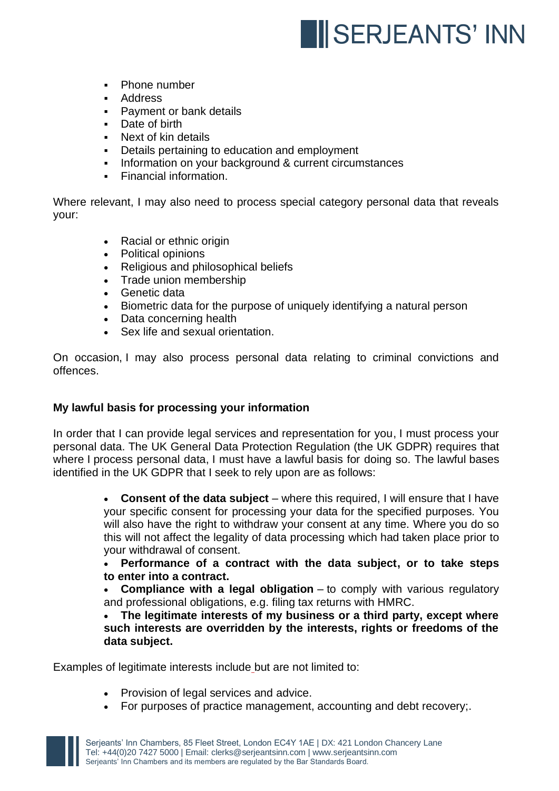

- Phone number
- Address
- Payment or bank details
- Date of birth
- Next of kin details
- Details pertaining to education and employment
- Information on your background & current circumstances
- Financial information.

Where relevant, I may also need to process special category personal data that reveals your:

- Racial or ethnic origin
- Political opinions
- Religious and philosophical beliefs
- Trade union membership
- Genetic data
- Biometric data for the purpose of uniquely identifying a natural person
- Data concerning health
- Sex life and sexual orientation.

On occasion, I may also process personal data relating to criminal convictions and offences.

## **My lawful basis for processing your information**

In order that I can provide legal services and representation for you, I must process your personal data. The UK General Data Protection Regulation (the UK GDPR) requires that where I process personal data, I must have a lawful basis for doing so. The lawful bases identified in the UK GDPR that I seek to rely upon are as follows:

> • **Consent of the data subject** – where this required, I will ensure that I have your specific consent for processing your data for the specified purposes. You will also have the right to withdraw your consent at any time. Where you do so this will not affect the legality of data processing which had taken place prior to your withdrawal of consent.

> • **Performance of a contract with the data subject, or to take steps to enter into a contract.**

> • **Compliance with a legal obligation** – to comply with various regulatory and professional obligations, e.g. filing tax returns with HMRC.

> • **The legitimate interests of my business or a third party, except where such interests are overridden by the interests, rights or freedoms of the data subject.**

Examples of legitimate interests include but are not limited to:

- Provision of legal services and advice.
- For purposes of practice management, accounting and debt recovery;.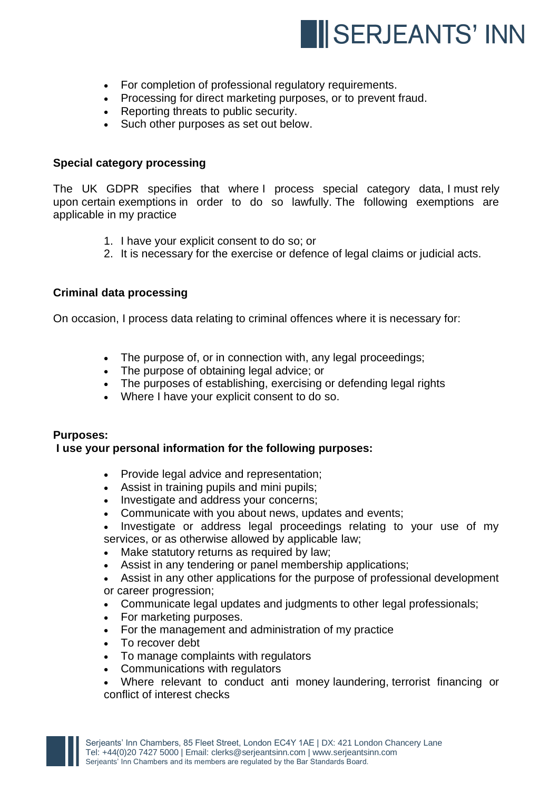

- For completion of professional regulatory requirements.
- Processing for direct marketing purposes, or to prevent fraud.
- Reporting threats to public security.
- Such other purposes as set out below.

#### **Special category processing**

The UK GDPR specifies that where I process special category data, I must rely upon certain exemptions in order to do so lawfully. The following exemptions are applicable in my practice

- 1. I have your explicit consent to do so; or
- 2. It is necessary for the exercise or defence of legal claims or judicial acts.

## **Criminal data processing**

On occasion, I process data relating to criminal offences where it is necessary for:

- The purpose of, or in connection with, any legal proceedings:
- The purpose of obtaining legal advice; or
- The purposes of establishing, exercising or defending legal rights
- Where I have your explicit consent to do so.

#### **Purposes:**

#### **I use your personal information for the following purposes:**

- Provide legal advice and representation;
- Assist in training pupils and mini pupils;
- Investigate and address your concerns;
- Communicate with you about news, updates and events;
- Investigate or address legal proceedings relating to your use of my services, or as otherwise allowed by applicable law;
- Make statutory returns as required by law;
- Assist in any tendering or panel membership applications;
- Assist in any other applications for the purpose of professional development or career progression;
- Communicate legal updates and judgments to other legal professionals;
- For marketing purposes.
- For the management and administration of my practice
- To recover debt
- To manage complaints with regulators
- Communications with regulators
- Where relevant to conduct anti money laundering, terrorist financing or conflict of interest checks

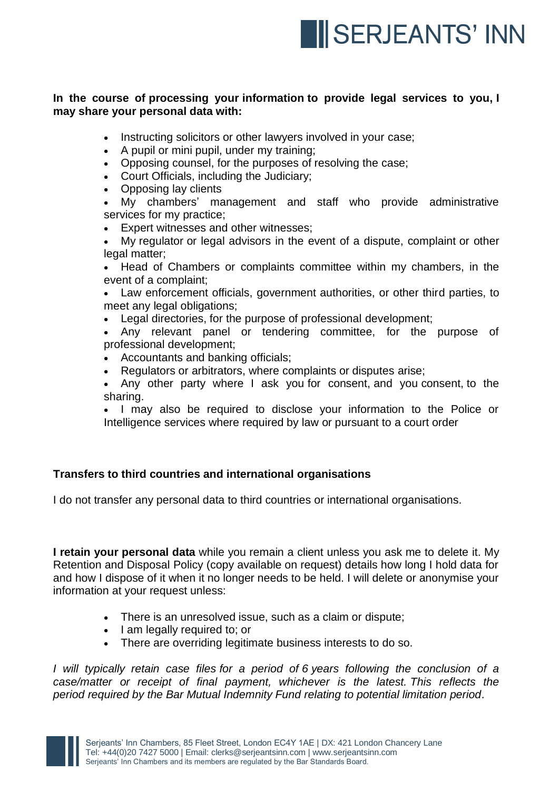

## **In the course of processing your information to provide legal services to you, I may share your personal data with:**

- Instructing solicitors or other lawyers involved in your case;
- A pupil or mini pupil, under my training;
- Opposing counsel, for the purposes of resolving the case;
- Court Officials, including the Judiciary;
- Opposing lay clients

• My chambers' management and staff who provide administrative services for my practice;

- Expert witnesses and other witnesses;
- My regulator or legal advisors in the event of a dispute, complaint or other legal matter;

• Head of Chambers or complaints committee within my chambers, in the event of a complaint;

• Law enforcement officials, government authorities, or other third parties, to meet any legal obligations;

Legal directories, for the purpose of professional development;

• Any relevant panel or tendering committee, for the purpose of professional development;

- Accountants and banking officials;
- Regulators or arbitrators, where complaints or disputes arise;

Any other party where I ask you for consent, and you consent, to the sharing.

• I may also be required to disclose your information to the Police or Intelligence services where required by law or pursuant to a court order

## **Transfers to third countries and international organisations**

I do not transfer any personal data to third countries or international organisations.

**I retain your personal data** while you remain a client unless you ask me to delete it. My Retention and Disposal Policy (copy available on request) details how long I hold data for and how I dispose of it when it no longer needs to be held. I will delete or anonymise your information at your request unless:

- There is an unresolved issue, such as a claim or dispute;
- I am legally required to; or
- There are overriding legitimate business interests to do so.

*I will typically retain case files for a period of 6 years following the conclusion of a case/matter or receipt of final payment, whichever is the latest. This reflects the period required by the Bar Mutual Indemnity Fund relating to potential limitation period.*